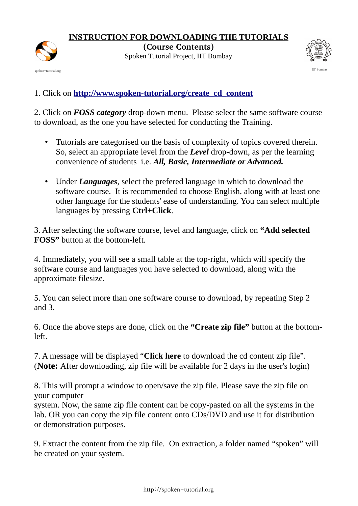

**INSTRUCTION FOR DOWNLOADING THE TUTORIALS**

**(Course Contents)** Spoken Tutorial Project, IIT Bombay



1. Click on **[http://www.spoken-tutorial.org/create\\_cd\\_content](http://www.spoken-tutorial.org/create_cd_content)**

2. Click on *FOSS category* drop-down menu. Please select the same software course to download, as the one you have selected for conducting the Training.

- Tutorials are categorised on the basis of complexity of topics covered therein. So, select an appropriate level from the *Level* drop-down, as per the learning convenience of students i.e. *All, Basic, Intermediate or Advanced.*
- Under *Languages*, select the prefered language in which to download the software course. It is recommended to choose English, along with at least one other language for the students' ease of understanding. You can select multiple languages by pressing **Ctrl+Click**.

3. After selecting the software course, level and language, click on **"Add selected FOSS"** button at the bottom-left.

4. Immediately, you will see a small table at the top-right, which will specify the software course and languages you have selected to download, along with the approximate filesize.

5. You can select more than one software course to download, by repeating Step 2 and 3.

6. Once the above steps are done, click on the **"Create zip file"** button at the bottomleft.

7. A message will be displayed "**Click here** to download the cd content zip file". (**Note:** After downloading, zip file will be available for 2 days in the user's login)

8. This will prompt a window to open/save the zip file. Please save the zip file on your computer

system. Now, the same zip file content can be copy-pasted on all the systems in the lab. OR you can copy the zip file content onto CDs/DVD and use it for distribution or demonstration purposes.

9. Extract the content from the zip file. On extraction, a folder named "spoken" will be created on your system.